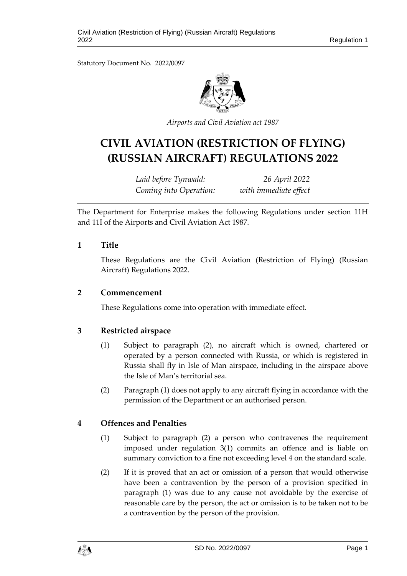Statutory Document No. 2022/0097



*Airports and Civil Aviation act 1987*

# **CIVIL AVIATION (RESTRICTION OF FLYING) (RUSSIAN AIRCRAFT) REGULATIONS 2022**

*Laid before Tynwald: 26 April 2022 Coming into Operation: with immediate effect*

The Department for Enterprise makes the following Regulations under section 11H and 11I of the Airports and Civil Aviation Act 1987.

### **1 Title**

These Regulations are the Civil Aviation (Restriction of Flying) (Russian Aircraft) Regulations 2022.

#### **2 Commencement**

These Regulations come into operation with immediate effect.

## **3 Restricted airspace**

- (1) Subject to paragraph (2), no aircraft which is owned, chartered or operated by a person connected with Russia, or which is registered in Russia shall fly in Isle of Man airspace, including in the airspace above the Isle of Man's territorial sea.
- (2) Paragraph (1) does not apply to any aircraft flying in accordance with the permission of the Department or an authorised person.

## **4 Offences and Penalties**

- (1) Subject to paragraph (2) a person who contravenes the requirement imposed under regulation 3(1) commits an offence and is liable on summary conviction to a fine not exceeding level 4 on the standard scale.
- (2) If it is proved that an act or omission of a person that would otherwise have been a contravention by the person of a provision specified in paragraph (1) was due to any cause not avoidable by the exercise of reasonable care by the person, the act or omission is to be taken not to be a contravention by the person of the provision.

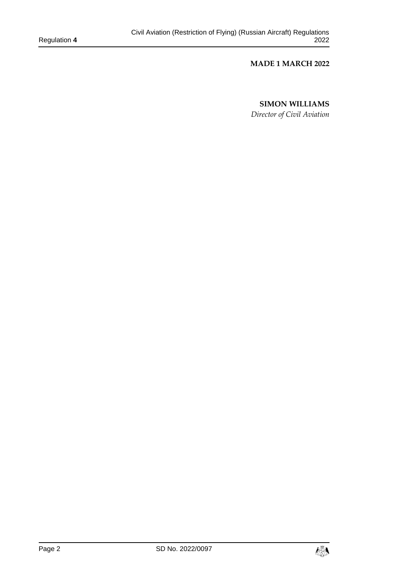#### **MADE 1 MARCH 2022**

#### **SIMON WILLIAMS**

*Director of Civil Aviation*